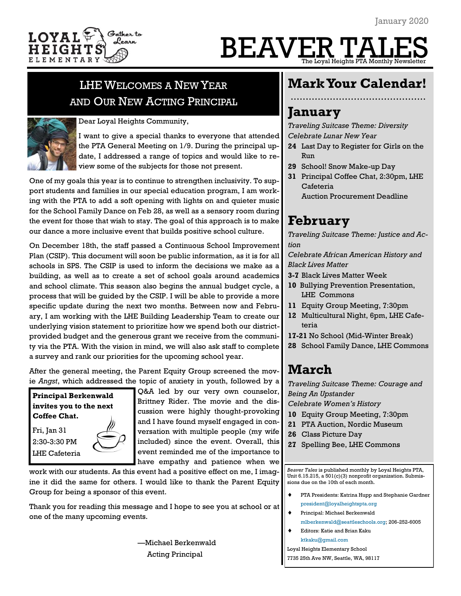

# BEAVER TA  $\overline{\text{Total Heights}}$  PTA Monthly Newsle

# LHE WELCOMES A NEW YEAR AND OUR NEW ACTING PRINCIPAL



Dear Loyal Heights Community,

I want to give a special thanks to everyone that attended the PTA General Meeting on 1/9. During the principal update, I addressed a range of topics and would like to review some of the subjects for those not present.

One of my goals this year is to continue to strengthen inclusivity. To support students and families in our special education program, I am working with the PTA to add a soft opening with lights on and quieter music for the School Family Dance on Feb 28, as well as a sensory room during the event for those that wish to stay. The goal of this approach is to make our dance a more inclusive event that builds positive school culture.

On December 18th, the staff passed a Continuous School Improvement Plan (CSIP). This document will soon be public information, as it is for all schools in SPS. The CSIP is used to inform the decisions we make as a building, as well as to create a set of school goals around academics and school climate. This season also begins the annual budget cycle, a process that will be guided by the CSIP. I will be able to provide a more specific update during the next two months. Between now and February, I am working with the LHE Building Leadership Team to create our underlying vision statement to prioritize how we spend both our districtprovided budget and the generous grant we receive from the community via the PTA. With the vision in mind, we will also ask staff to complete a survey and rank our priorities for the upcoming school year.

After the general meeting, the Parent Equity Group screened the movie *Angst*, which addressed the topic of anxiety in youth, followed by a

**Principal Berkenwald invites you to the next Coffee Chat.** Fri, Jan 31

2:30-3:30 PM LHE Cafeteria

Q&A led by our very own counselor, Brittney Rider. The movie and the discussion were highly thought-provoking and I have found myself engaged in conversation with multiple people (my wife included) since the event. Overall, this event reminded me of the importance to have empathy and patience when we

work with our students. As this event had a positive effect on me, I imagine it did the same for others. I would like to thank the Parent Equity Group for being a sponsor of this event.

Thank you for reading this message and I hope to see you at school or at one of the many upcoming events.

> —Michael Berkenwald Acting Principal

# **Mark Your Calendar!**

# **January**

*Traveling Suitcase Theme: Diversity Celebrate Lunar New Year*

- **24** Last Day to Register for Girls on the Run
- **29** School! Snow Make-up Day
- **31** Principal Coffee Chat, 2:30pm, LHE Cafeteria
	- Auction Procurement Deadline

# **February**

*Traveling Suitcase Theme: Justice and Action*

*Celebrate African American History and Black Lives Matter*

- **3-7** Black Lives Matter Week
- **10** Bullying Prevention Presentation, LHE Commons
- **11** Equity Group Meeting, 7:30pm
- **12** Multicultural Night, 6pm, LHE Cafeteria
- **17-21** No School (Mid-Winter Break)
- **28** School Family Dance, LHE Commons

# **March**

*Traveling Suitcase Theme: Courage and Being An Upstander*

*Celebrate Women's History*

- **10** Equity Group Meeting, 7:30pm
- **21** PTA Auction, Nordic Museum
- **26** Class Picture Day

*Beaver Tales* is published monthly by Loyal Heights PTA, Unit 6.15.215, a 501(c)(3) nonprofit organization. Submissions due on the 10th of each month.

- PTA Presidents: Katrina Hupp and Stephanie Gardner [president@loyalheightspta.org](mailto:president@loyalheightspta.org)
- Principal: Michael Berkenwald
- [mlberkenwald@seattleschools.org;](mailto:mlberkenwald@seattleschools.org) 206-252-6005 Editors: Katie and Brian Kaku

[ktkaku@gmail.com](mailto:ktkaku@gmail.com)

Loyal Heights Elementary School 7735 25th Ave NW, Seattle, WA, 98117

**<sup>27</sup>** Spelling Bee, LHE Commons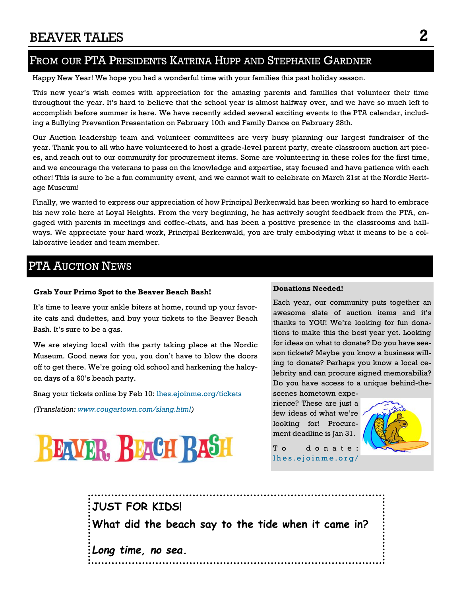# FROM OUR PTA PRESIDENTS KATRINA HUPP AND STEPHANIE GARDNER

Happy New Year! We hope you had a wonderful time with your families this past holiday season.

This new year's wish comes with appreciation for the amazing parents and families that volunteer their time throughout the year. It's hard to believe that the school year is almost halfway over, and we have so much left to accomplish before summer is here. We have recently added several exciting events to the PTA calendar, including a Bullying Prevention Presentation on February 10th and Family Dance on February 28th.

Our Auction leadership team and volunteer committees are very busy planning our largest fundraiser of the year. Thank you to all who have volunteered to host a grade-level parent party, create classroom auction art pieces, and reach out to our community for procurement items. Some are volunteering in these roles for the first time, and we encourage the veterans to pass on the knowledge and expertise, stay focused and have patience with each other! This is sure to be a fun community event, and we cannot wait to celebrate on March 21st at the Nordic Heritage Museum!

Finally, we wanted to express our appreciation of how Principal Berkenwald has been working so hard to embrace his new role here at Loyal Heights. From the very beginning, he has actively sought feedback from the PTA, engaged with parents in meetings and coffee-chats, and has been a positive presence in the classrooms and hallways. We appreciate your hard work, Principal Berkenwald, you are truly embodying what it means to be a collaborative leader and team member.

### PTA AUCTION NEWS

#### **Grab Your Primo Spot to the Beaver Beach Bash!**

It's time to leave your ankle biters at home, round up your favorite cats and dudettes, and buy your tickets to the Beaver Beach Bash. It's sure to be a gas.

We are staying local with the party taking place at the Nordic Museum. Good news for you, you don't have to blow the doors off to get there. We're going old school and harkening the halcyon days of a 60's beach party.

Snag your tickets online by Feb 10: [lhes.ejoinme.org/tickets](https://lhes.ejoinme.org/tickets)

*(Translation: [www.cougartown.com/slang.html\)](https://www.cougartown.com/slang.html)*



#### **Donations Needed!**

Each year, our community puts together an awesome slate of auction items and it's thanks to YOU! We're looking for fun donations to make this the best year yet. Looking for ideas on what to donate? Do you have season tickets? Maybe you know a business willing to donate? Perhaps you know a local celebrity and can procure signed memorabilia? Do you have access to a unique behind-thescenes hometown expe-

rience? These are just a few ideas of what we're looking for! Procurement deadline is Jan 31.



To donate: lhes.ejoinme.org/

**JUST FOR KIDS! What did the beach say to the tide when it came in?** *Long time, no sea.*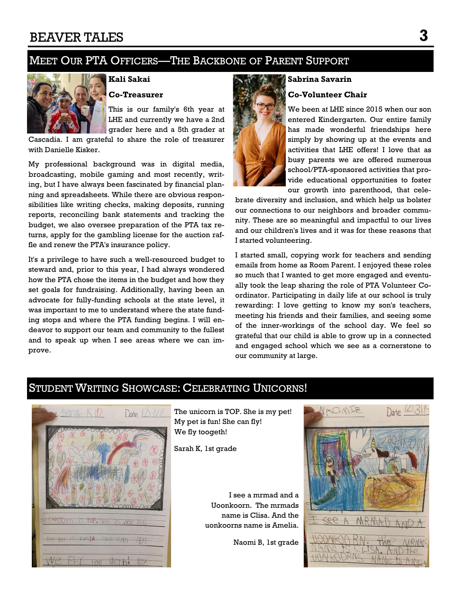# MEET OUR PTA OFFICERS—THE BACKBONE OF PARENT SUPPORT



### **Kali Sakai Co-Treasurer**

This is our family's 6th year at LHE and currently we have a 2nd grader here and a 5th grader at

Cascadia. I am grateful to share the role of treasurer with Danielle Kisker.

My professional background was in digital media, broadcasting, mobile gaming and most recently, writing, but I have always been fascinated by financial planning and spreadsheets. While there are obvious responsibilities like writing checks, making deposits, running reports, reconciling bank statements and tracking the budget, we also oversee preparation of the PTA tax returns, apply for the gambling license for the auction raffle and renew the PTA's insurance policy.

It's a privilege to have such a well-resourced budget to steward and, prior to this year, I had always wondered how the PTA chose the items in the budget and how they set goals for fundraising. Additionally, having been an advocate for fully-funding schools at the state level, it was important to me to understand where the state funding stops and where the PTA funding begins. I will endeavor to support our team and community to the fullest and to speak up when I see areas where we can improve.

# **Sabrina Savarin Co-Volunteer Chair**

We been at LHE since 2015 when our son entered Kindergarten. Our entire family has made wonderful friendships here simply by showing up at the events and activities that LHE offers! I love that as busy parents we are offered numerous school/PTA-sponsored activities that provide educational opportunities to foster our growth into parenthood, that cele-

brate diversity and inclusion, and which help us bolster our connections to our neighbors and broader community. These are so meaningful and impactful to our lives and our children's lives and it was for these reasons that I started volunteering.

I started small, copying work for teachers and sending emails from home as Room Parent. I enjoyed these roles so much that I wanted to get more engaged and eventually took the leap sharing the role of PTA Volunteer Coordinator. Participating in daily life at our school is truly rewarding: I love getting to know my son's teachers, meeting his friends and their families, and seeing some of the inner-workings of the school day. We feel so grateful that our child is able to grow up in a connected and engaged school which we see as a cornerstone to our community at large.

## STUDENT WRITING SHOWCASE: CELEBRATING UNICORNS!



The unicorn is TOP. She is my pet! My pet is fun! She can fly! We fly toogeth!

Sarah K, 1st grade

I see a mrmad and a Uoonkoorn. The mrmads name is Clisa. And the uonkoorns name is Amelia.

Naomi B, 1st grade

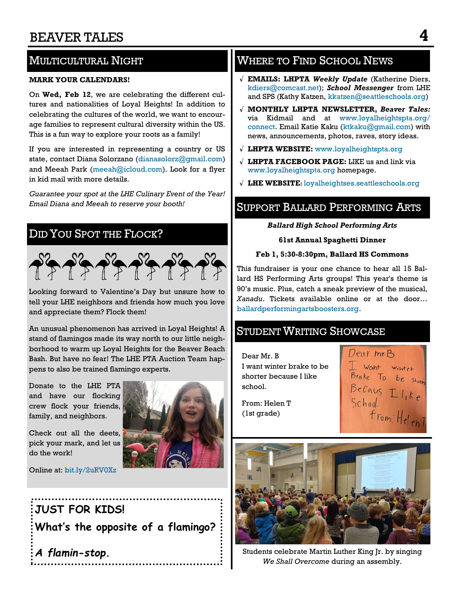# MULTICULTURAL NIGHT

#### **MARK YOUR CALENDARS!**

On **Wed, Feb 12**, we are celebrating the different cultures and nationalities of Loyal Heights! In addition to celebrating the cultures of the world, we want to encourage families to represent cultural diversity within the US. This is a fun way to explore your roots as a family!

If you are interested in representing a country or US state, contact Diana Solorzano ([dianasolorz@gmail.com\)](mailto:dianasolorz@gmail.com) and Meeah Park [\(meeah@icloud.com\)](mailto:meeah@icloud.com). Look for a flyer in kid mail with more details.

*Guarantee your spot at the LHE Culinary Event of the Year! Email Diana and Meeah to reserve your booth!*

# DID YOU SPOT THE FLOCK?



Looking forward to Valentine's Day but unsure how to tell your LHE neighbors and friends how much you love and appreciate them? Flock them!

An unusual phenomenon has arrived in Loyal Heights! A stand of flamingos made its way north to our little neighborhood to warm up Loyal Heights for the Beaver Beach Bash. But have no fear! The LHE PTA Auction Team happens to also be trained flamingo experts.

Donate to the LHE PTA and have our flocking crew flock your friends, family, and neighbors.

Check out all the deets, pick your mark, and let us do the work!

Online at: [bit.ly/2uRV0Xz](https://bit.ly/2uRV0Xz)





*A flamin-stop.*

# WHERE TO FIND SCHOOL NEWS

- √ **EMAILS: LHPTA** *Weekly Update* (Katherine Diers, [kdiers@comcast.net\)](mailto:kdiers@comcast.net); *School Messenger* from LHE and SPS (Kathy Katzen, [kkatzen@seattleschools.org\)](mailto:kkatzen@seattleschools.org)
- √ **MONTHLY LHPTA NEWSLETTER,** *Beaver Tales:*  via Kidmail and at [www.loyalheightspta.org/](http://www.loyalheightspta.org/connect) [connect.](http://www.loyalheightspta.org/connect) Email Katie Kaku ([ktkaku@gmail.com\)](mailto:ktkaku@gmail.com) with news, announcements, photos, raves, story ideas.
- √ **LHPTA WEBSITE:** [www.loyalheightspta.org](http://www.loyalheightspta.org)
- √ **LHPTA FACEBOOK PAGE:** LIKE us and link via [www.loyalheightspta.org](http://www.loyalheightspta.org) homepage.
- √ **LHE WEBSITE:** loyalheightses.seattleschools.org

### SUPPORT BALLARD PERFORMING ARTS

### *Ballard High School Performing Arts*

#### **61st Annual Spaghetti Dinner**

### **Feb 1, 5:30-8:30pm, Ballard HS Commons**

This fundraiser is your one chance to hear all 15 Ballard HS Performing Arts groups! This year's theme is 90's music. Plus, catch a sneak preview of the musical, *Xanadu*. Tickets available online or at the door… [ballardperformingartsboosters.org.](ballardperformingartsboosters.org)

### **STUDENT WRITING SHOWCASE**

Dear Mr. B I want winter brake to be shorter because I like school.

Dear mr.B I Wont winter<br>Brake To be shorm<br>Becaus I like<br>School. ool.<br>From: HelenT

From: Helen T (1st grade)



Students celebrate Martin Luther King Jr. by singing *We Shall Overcome* during an assembly.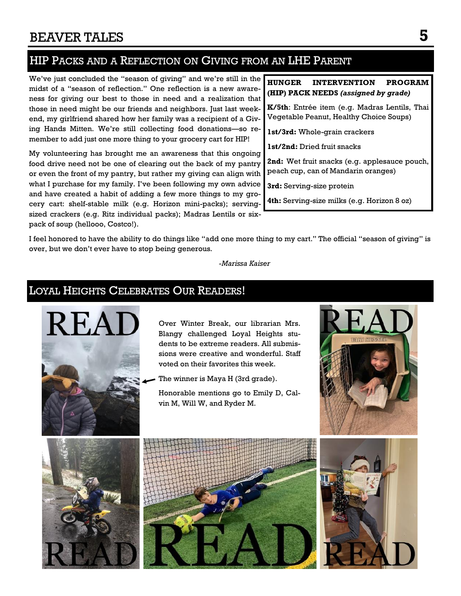# HIP PACKS AND A REFLECTION ON GIVING FROM AN LHE PARENT

We've just concluded the "season of giving" and we're still in the midst of a "season of reflection." One reflection is a new awareness for giving our best to those in need and a realization that those in need might be our friends and neighbors. Just last weekend, my girlfriend shared how her family was a recipient of a Giving Hands Mitten. We're still collecting food donations—so remember to add just one more thing to your grocery cart for HIP!

My volunteering has brought me an awareness that this ongoing food drive need not be one of clearing out the back of my pantry or even the front of my pantry, but rather my giving can align with what I purchase for my family. I've been following my own advice and have created a habit of adding a few more things to my grocery cart: shelf-stable milk (e.g. Horizon mini-packs); servingsized crackers (e.g. Ritz individual packs); Madras Lentils or sixpack of soup (hellooo, Costco!).

### **HUNGER INTERVENTION PROGRAM (HIP) PACK NEEDS** *(assigned by grade)*

**K/5th**: Entrée item (e.g. Madras Lentils, Thai Vegetable Peanut, Healthy Choice Soups)

**1st/3rd:** Whole-grain crackers

**1st/2nd:** Dried fruit snacks

**2nd:** Wet fruit snacks (e.g. applesauce pouch, peach cup, can of Mandarin oranges)

**3rd:** Serving-size protein

**4th:** Serving-size milks (e.g. Horizon 8 oz)

I feel honored to have the ability to do things like "add one more thing to my cart." The official "season of giving" is over, but we don't ever have to stop being generous.

*-Marissa Kaiser*

### LOYAL HEIGHTS CELEBRATES OUR READERS!



Over Winter Break, our librarian Mrs. Blangy challenged Loyal Heights students to be extreme readers. All submissions were creative and wonderful. Staff voted on their favorites this week.

The winner is Maya H (3rd grade).

Honorable mentions go to Emily D, Calvin M, Will W, and Ryder M.